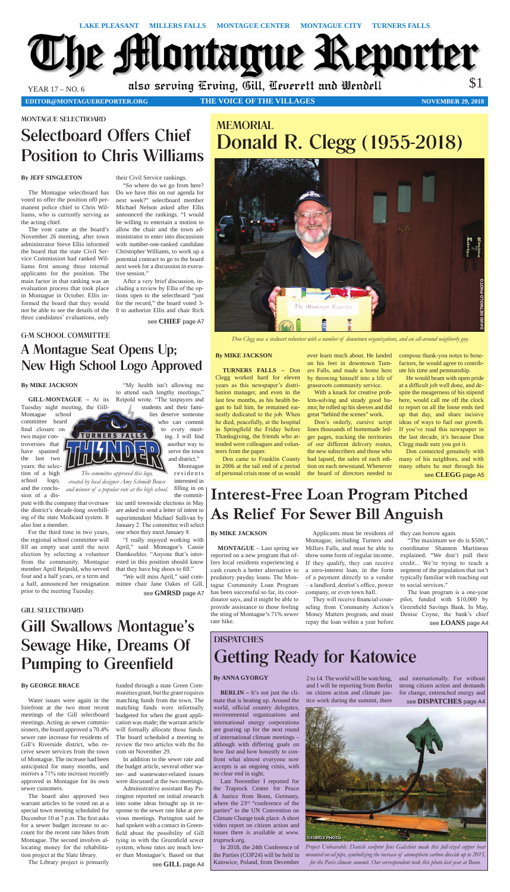**editor@montaguereporter.org THE VOICE OF THE VILLAGES**



**NOVEMBER 29, 2018**

# G-M SCHOOL COMMITTEE

# A Montague Seat Opens Up; New High School Logo Approved

**TURNERS FALLS** 

## **By ANNA GYORGY**

environmental organizations and international energy corporations are gearing up for the next round of international climate meetings – although with differing goals on how fast and how honestly to confront what almost everyone now accepts is an ongoing crisis, with and internationally. For without strong citizen action and demands for change, entrenched energy and see **DISPATCHES** page A4

no clear end in sight.

# **DISPATCHES** Getting Ready for Katowice

**BERLIN –** It's not just the climate that is heating up. Around the world, official country delegates, 2 to 14. The world will be watching, and I will be reporting from Berlin on citizen action and climate justice work during the summit, there

> *Project Unbearable: Danish sculptor Jens Galschiot made this full-sized copper bear mounted on oil pipe, symbolizing the increase of atomspheric carbon dioxide up to 2015, for the Paris climate summit. Our correspondent took this photo last year at Bonn.*

Last November I reported for the Traprock Center for Peace & Justice from Bonn, Germany, where the 23rd "conference of the parties" to the UN Convention on Climate Change took place. A short video report on citizen action and issues there is available at *www.*

*traprock.org*.

In 2018, the 24th Conference of the Parties (COP24) will be held in Katowice, Poland, from December



# MEMORIAL Donald R. Clegg (1955-2018)

GILL SELECTBOARD

# Gill Swallows Montague's Sewage Hike, Dreams Of Pumping to Greenfield

# MONTAGUE SELECTBOARD

# Selectboard Offers Chief Position to Chris Williams

# **By JEFF SINGLETON**

The Montague selectboard has voted to offer the position of0 permanent police chief to Chris Williams, who is currently serving as the acting chief.

The vote came at the board's November 26 meeting, after town administrator Steve Ellis informed the board that the state Civil Service Commission had ranked Williams first among three internal applicants for the position. The main factor in that ranking was an evaluation process that took place in Montague in October. Ellis informed the board that they would not be able to see the details of the three candidates' evaluations, only

their Civil Service rankings.

"So where do we go from here? Do we have this on our agenda for next week?" selectboard member Michael Nelson asked after Ellis announced the rankings. "I would be willing to entertain a motion to allow the chair and the town administrator to enter into discussions with number-one-ranked candidate Christopher Williams, to work up a potential contract to go to the board next week for a discussion in executive session."

residents interested in filling in on *The committee approved this logo, created by local designer Amy Schmidt Bowse and winner of a popular vote at the high school.* 

After a very brief discussion, including a review by Ellis of the options open to the selectboard "just for the record," the board voted 3- 0 to authorize Ellis and chair Rich

see **CHIEF** page A7

# **By MIKE JACKSON**

**MONTAGUE** – Last spring we reported on a new program that offers local residents experiencing a cash crunch a better alternative to predatory payday loans. The Montague Community Loan Program has been successful so far, its coordinator says, and it might be able to provide assistance to those feeling the sting of Montague's 71% sewer rate hike.

Applicants must be residents of

Montague, including Turners and Millers Falls, and must be able to show some form of regular income. If they qualify, they can receive a zero-interest loan, in the form of a payment directly to a vendor – a landlord, dentist's office, power company, or even town hall.

They will receive financial counseling from Community Action's Money Matters program, and must repay the loan within a year before they can borrow again.

"The maximum we do is \$500," coordinator Shannon Martineau explained. "We don't pull their credit... We're trying to reach a segment of the population that isn't typically familiar with reaching out to social services."

The loan program is a one-year pilot, funded with \$10,000 by Greenfield Savings Bank. In May, Denise Coyne, the bank's chief see **LOANS** page A4

**Interest-Free Loan Program Pitched As Relief For Sewer Bill Anguish**

## **By MIKE JACKSON**

**GILL-MONTAGUE –** At its Tuesday night meeting, the Gill-

Montague school committee heard final closure on two major controversies that have spanned the last two years: the selection of a high school logo, and the conclusion of a dis-

pute with the company that oversaw the district's decade-long overbilling of the state Medicaid system. It also lost a member.

For the third time in two years, the regional school committee will fill an empty seat until the next election by selecting a volunteer from the community. Montague member April Reipold, who served four and a half years, or a term and a half, announced her resignation prior to the meeting Tuesday.

"My health isn't allowing me to attend such lengthy meetings," Reipold wrote. "The taxpayers and

students and their families deserve someone

who can commit to every meeting. I will find another way to serve the town and district." Montague

the committee until townwide elections in May are asked to send a letter of intent to superintendent Michael Sullivan by January 2. The committee will select

one when they meet January 8.

"I really enjoyed working with April," said Montague's Cassie Damkoehler. "Anyone that's interested in this position should know that they have big shoes to fill." "We will miss April," said committee chair Jane Oakes of Gill.

see **GMRSD** page A7

# **By GEORGE BRACE**

Water issues were again in the forefront at the two most recent meetings of the Gill selectboard meetings. Acting as sewer commissioners, the board approved a 70.4% sewer rate increase for residents of Gill's Riverside district, who receive sewer services from the town of Montague. The increase had been anticipated for many months, and mirrors a 71% rate increase recently approved in Montague for its own sewer customers.

The board also approved two warrant articles to be voted on at a special town meeting scheduled for December 10 at 7 p.m. The first asks for a sewer budget increase to account for the recent rate hikes from Montague. The second involves allocating money for the rehabilitation project at the Slate library.

The Library project is primarily

funded through a state Green Communities grant, but the grant requires matching funds from the town. The matching funds were informally budgeted for when the grant application was made; the warrant article will formally allocate those funds. The board scheduled a meeting to review the two articles with the fin com on November 29.

In addition to the sewer rate and the budget article, several other water- and wastewater-related issues were discussed at the two meetings.

Administrative assistant Ray Purington reported on initial research into some ideas brought up in response to the sewer rate hike at previous meetings. Purington said he had spoken with a contact in Greenfield about the possibility of Gill tying in with the Greenfield sewer system, whose rates are much lower than Montague's. Based on that

see **GILL** page A4



# **By MIKE JACKSON**

**TURNERS FALLS –** Don Clegg worked hard for eleven years as this newspaper's distribution manager, and even in the last few months, as his health began to fail him, he remained earnestly dedicated to the job. When he died, peacefully, at the hospital in Springfield the Friday before Thanksgiving, the friends who attended were colleagues and volunteers from the paper.

Don came to Franklin County in 2006 at the tail end of a period of personal crisis none of us would

ever learn much about. He landed on his feet in downtown Turners Falls, and made a home here by throwing himself into a life of grassroots community service.

With a knack for creative problem-solving and steady good humor, he rolled up his sleeves and did great "behind the scenes" work.

Don's orderly, cursive script lines thousands of homemade ledger pages, tracking the territories of our different delivery routes, the new subscribers and those who had lapsed, the sales of each edition on each newsstand. Whenever the board of directors needed to

compose thank-you notes to benefactors, he would agree to contribute his time and penmanship.

He would beam with open pride at a difficult job well done, and despite the meagerness of his stipend here, would call me off the clock to report on all the loose ends tied up that day, and share incisive ideas of ways to fuel our growth. If you've read this newspaper in the last decade, it's because Don Clegg made sure you got it.

Don connected genuinely with many of his neighbors, and with many others he met through his see **CLEGG** page A5

*Don Clegg was a stalwart volunteer with a number of downtown organizations, and an all-around neighborly guy.*